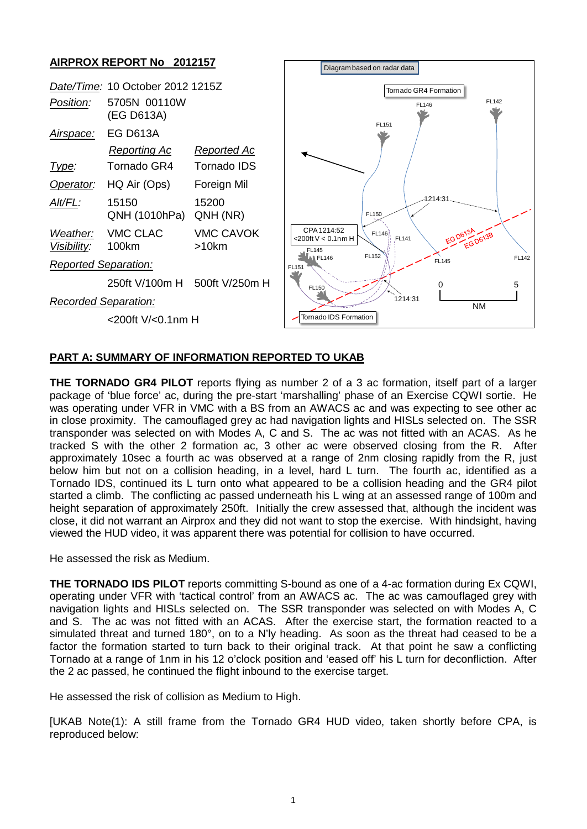## **AIRPROX REPORT No 2012157**

|                             | Date/Time: 10 October 2012 1215Z |                    |
|-----------------------------|----------------------------------|--------------------|
| Position:                   | 5705N 00110W<br>(EG D613A)       |                    |
| <u>Airspace:</u>            | <b>EG D613A</b>                  |                    |
|                             | <u>Reporting Ac</u>              | Reported Ac        |
| <u> I ype:</u>              | Tornado GR4                      | Tornado IDS        |
| Operator:                   | HQ Air (Ops)                     | Foreign Mil        |
| Alt/FL:                     | 15150<br>QNH (1010hPa)           | 15200<br>QNH (NR)  |
| <i>Visibility:</i>          | Weather: VMC CLAC<br>100km       | VMC CAVOK<br>>10km |
| <b>Reported Separation:</b> |                                  |                    |
|                             | 250ft V/100m H                   | 500ft V/250m H     |
| Recorded Separation:        |                                  |                    |
|                             | <200ft V/<0.1nm H                |                    |



## **PART A: SUMMARY OF INFORMATION REPORTED TO UKAB**

**THE TORNADO GR4 PILOT** reports flying as number 2 of a 3 ac formation, itself part of a larger package of 'blue force' ac, during the pre-start 'marshalling' phase of an Exercise CQWI sortie. He was operating under VFR in VMC with a BS from an AWACS ac and was expecting to see other ac in close proximity. The camouflaged grey ac had navigation lights and HISLs selected on. The SSR transponder was selected on with Modes A, C and S. The ac was not fitted with an ACAS. As he tracked S with the other 2 formation ac, 3 other ac were observed closing from the R. After approximately 10sec a fourth ac was observed at a range of 2nm closing rapidly from the R, just below him but not on a collision heading, in a level, hard L turn. The fourth ac, identified as a Tornado IDS, continued its L turn onto what appeared to be a collision heading and the GR4 pilot started a climb. The conflicting ac passed underneath his L wing at an assessed range of 100m and height separation of approximately 250ft. Initially the crew assessed that, although the incident was close, it did not warrant an Airprox and they did not want to stop the exercise. With hindsight, having viewed the HUD video, it was apparent there was potential for collision to have occurred.

He assessed the risk as Medium.

**THE TORNADO IDS PILOT** reports committing S-bound as one of a 4-ac formation during Ex CQWI, operating under VFR with 'tactical control' from an AWACS ac. The ac was camouflaged grey with navigation lights and HISLs selected on. The SSR transponder was selected on with Modes A, C and S. The ac was not fitted with an ACAS. After the exercise start, the formation reacted to a simulated threat and turned 180°, on to a N'ly heading. As soon as the threat had ceased to be a factor the formation started to turn back to their original track. At that point he saw a conflicting Tornado at a range of 1nm in his 12 o'clock position and 'eased off' his L turn for deconfliction. After the 2 ac passed, he continued the flight inbound to the exercise target.

He assessed the risk of collision as Medium to High.

[UKAB Note(1): A still frame from the Tornado GR4 HUD video, taken shortly before CPA, is reproduced below: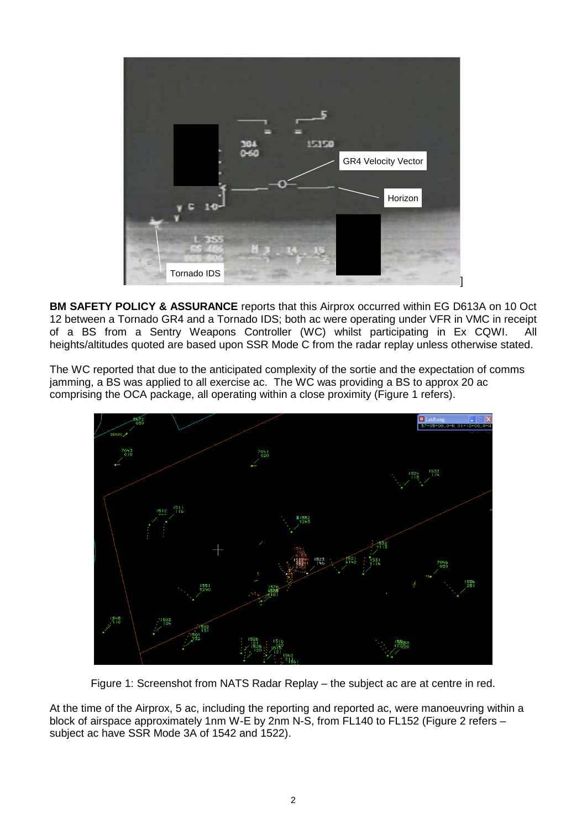

**BM SAFETY POLICY & ASSURANCE** reports that this Airprox occurred within EG D613A on 10 Oct 12 between a Tornado GR4 and a Tornado IDS; both ac were operating under VFR in VMC in receipt of a BS from a Sentry Weapons Controller (WC) whilst participating in Ex CQWI. All heights/altitudes quoted are based upon SSR Mode C from the radar replay unless otherwise stated.

The WC reported that due to the anticipated complexity of the sortie and the expectation of comms jamming, a BS was applied to all exercise ac. The WC was providing a BS to approx 20 ac comprising the OCA package, all operating within a close proximity (Figure 1 refers).



Figure 1: Screenshot from NATS Radar Replay – the subject ac are at centre in red.

At the time of the Airprox, 5 ac, including the reporting and reported ac, were manoeuvring within a block of airspace approximately 1nm W-E by 2nm N-S, from FL140 to FL152 (Figure 2 refers – subject ac have SSR Mode 3A of 1542 and 1522).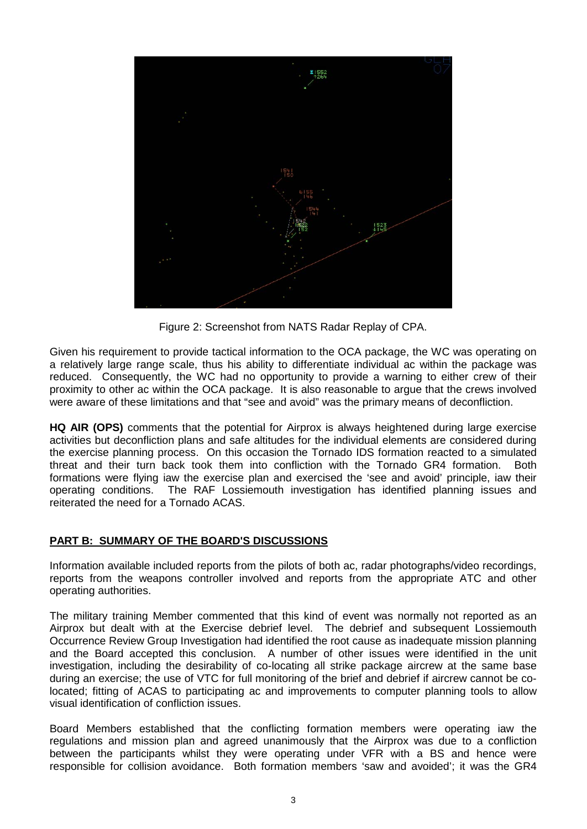

Figure 2: Screenshot from NATS Radar Replay of CPA.

Given his requirement to provide tactical information to the OCA package, the WC was operating on a relatively large range scale, thus his ability to differentiate individual ac within the package was reduced. Consequently, the WC had no opportunity to provide a warning to either crew of their proximity to other ac within the OCA package. It is also reasonable to argue that the crews involved were aware of these limitations and that "see and avoid" was the primary means of deconfliction.

**HQ AIR (OPS)** comments that the potential for Airprox is always heightened during large exercise activities but deconfliction plans and safe altitudes for the individual elements are considered during the exercise planning process. On this occasion the Tornado IDS formation reacted to a simulated threat and their turn back took them into confliction with the Tornado GR4 formation. Both formations were flying iaw the exercise plan and exercised the 'see and avoid' principle, iaw their operating conditions. The RAF Lossiemouth investigation has identified planning issues and reiterated the need for a Tornado ACAS.

## **PART B: SUMMARY OF THE BOARD'S DISCUSSIONS**

Information available included reports from the pilots of both ac, radar photographs/video recordings, reports from the weapons controller involved and reports from the appropriate ATC and other operating authorities.

The military training Member commented that this kind of event was normally not reported as an Airprox but dealt with at the Exercise debrief level. The debrief and subsequent Lossiemouth Occurrence Review Group Investigation had identified the root cause as inadequate mission planning and the Board accepted this conclusion. A number of other issues were identified in the unit investigation, including the desirability of co-locating all strike package aircrew at the same base during an exercise; the use of VTC for full monitoring of the brief and debrief if aircrew cannot be colocated; fitting of ACAS to participating ac and improvements to computer planning tools to allow visual identification of confliction issues.

Board Members established that the conflicting formation members were operating iaw the regulations and mission plan and agreed unanimously that the Airprox was due to a confliction between the participants whilst they were operating under VFR with a BS and hence were responsible for collision avoidance. Both formation members 'saw and avoided'; it was the GR4